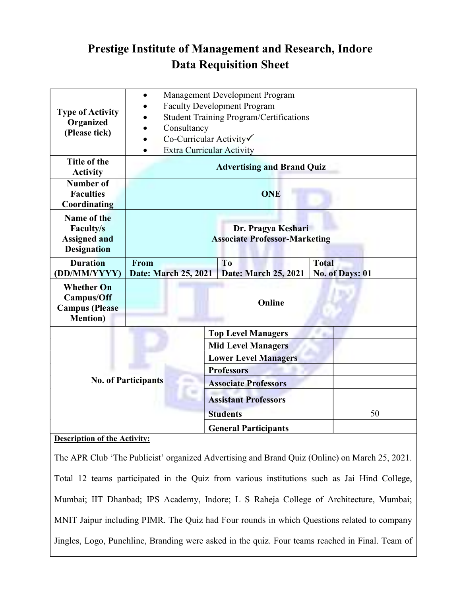## Prestige Institute of Management and Research, Indore Data Requisition Sheet

| <b>Type of Activity</b><br>Organized<br>(Please tick)                                         | Management Development Program<br>$\bullet$    |                             |                 |
|-----------------------------------------------------------------------------------------------|------------------------------------------------|-----------------------------|-----------------|
|                                                                                               | <b>Faculty Development Program</b>             |                             |                 |
|                                                                                               | <b>Student Training Program/Certifications</b> |                             |                 |
|                                                                                               | Consultancy<br>$\bullet$                       |                             |                 |
|                                                                                               | Co-Curricular Activity√                        |                             |                 |
|                                                                                               | <b>Extra Curricular Activity</b><br>$\bullet$  |                             |                 |
| Title of the                                                                                  | <b>Advertising and Brand Quiz</b>              |                             |                 |
| <b>Activity</b>                                                                               |                                                |                             |                 |
| <b>Number of</b>                                                                              | <b>ONE</b>                                     |                             |                 |
| <b>Faculties</b>                                                                              |                                                |                             |                 |
| Coordinating                                                                                  |                                                |                             |                 |
| Name of the                                                                                   |                                                |                             |                 |
| <b>Faculty/s</b>                                                                              | Dr. Pragya Keshari                             |                             |                 |
| <b>Assigned and</b>                                                                           | <b>Associate Professor-Marketing</b>           |                             |                 |
| <b>Designation</b>                                                                            |                                                |                             |                 |
| <b>Duration</b>                                                                               | From                                           | T <sub>o</sub>              | <b>Total</b>    |
| (DD/MM/YYYY)                                                                                  | Date: March 25, 2021                           | Date: March 25, 2021        | No. of Days: 01 |
| <b>Whether On</b>                                                                             |                                                |                             |                 |
| Campus/Off                                                                                    |                                                | Online                      |                 |
| <b>Campus</b> (Please                                                                         |                                                |                             |                 |
| <b>Mention</b> )                                                                              |                                                |                             |                 |
| <b>No. of Participants</b>                                                                    |                                                | <b>Top Level Managers</b>   |                 |
|                                                                                               |                                                | <b>Mid Level Managers</b>   |                 |
|                                                                                               |                                                | <b>Lower Level Managers</b> |                 |
|                                                                                               |                                                | <b>Professors</b>           |                 |
|                                                                                               |                                                | <b>Associate Professors</b> |                 |
|                                                                                               |                                                | <b>Assistant Professors</b> |                 |
|                                                                                               |                                                | <b>Students</b>             | 50              |
|                                                                                               |                                                | <b>General Participants</b> |                 |
| <b>Description of the Activity:</b>                                                           |                                                |                             |                 |
|                                                                                               |                                                |                             |                 |
| The APR Club 'The Publicist' organized Advertising and Brand Quiz (Online) on March 25, 2021. |                                                |                             |                 |
|                                                                                               |                                                |                             |                 |

Total 12 teams participated in the Quiz from various institutions such as Jai Hind College, Mumbai; IIT Dhanbad; IPS Academy, Indore; L S Raheja College of Architecture, Mumbai; MNIT Jaipur including PIMR. The Quiz had Four rounds in which Questions related to company Jingles, Logo, Punchline, Branding were asked in the quiz. Four teams reached in Final. Team of